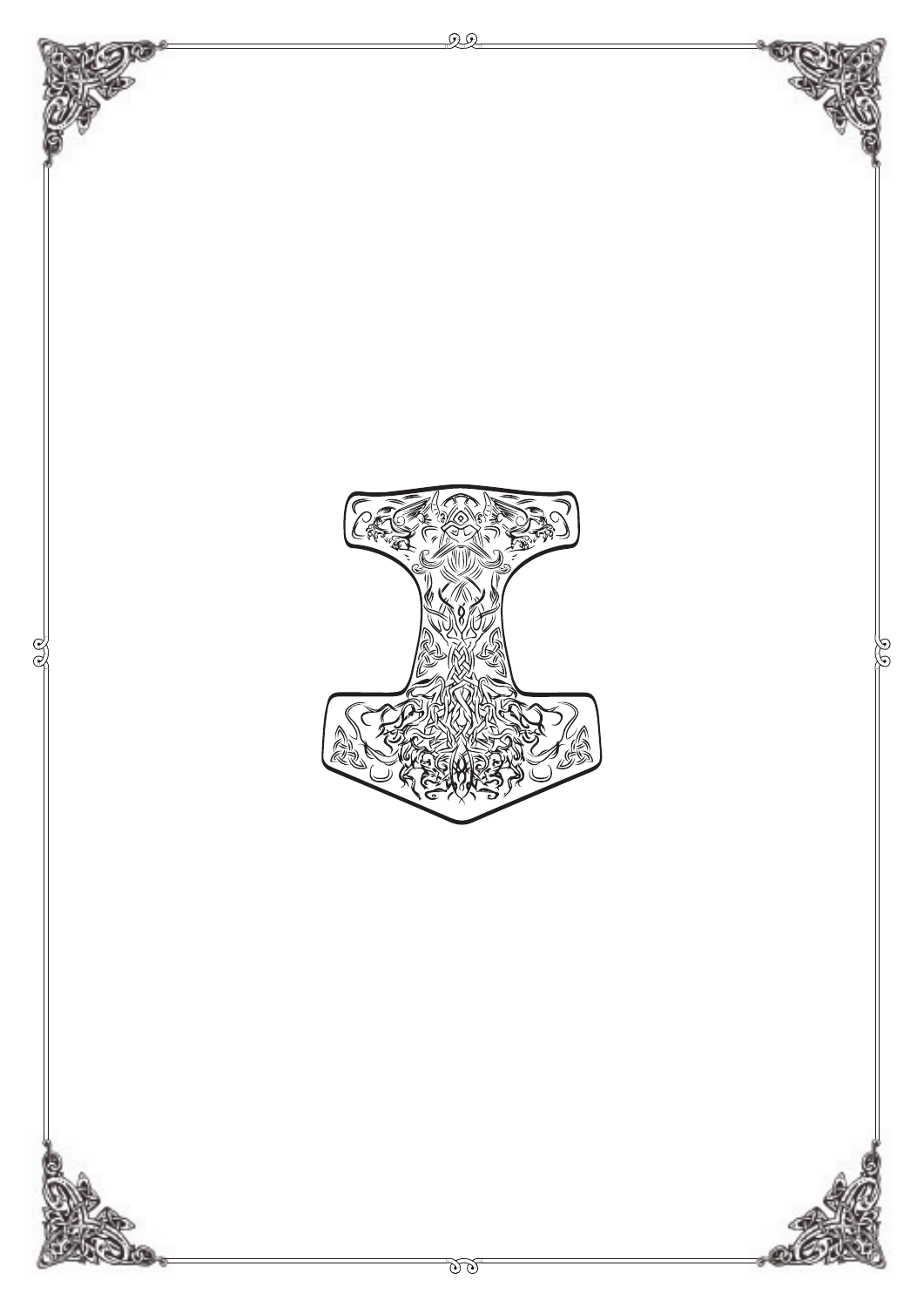